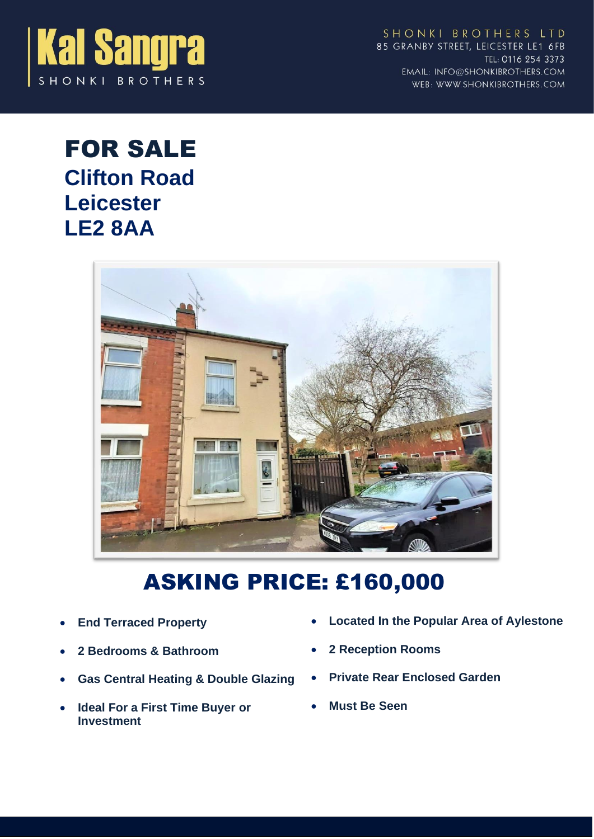

SHONKI BROTHERS LTD 85 GRANBY STREET, LEICESTER LE1 6FB TEL: 0116 254 3373 EMAIL: INFO@SHONKIBROTHERS.COM WEB: WWW.SHONKIBROTHERS.COM

## FOR SALE **Clifton Road Leicester LE2 8AA**



# ASKING PRICE: £160,000

- **End Terraced Property**
- **2 Bedrooms & Bathroom**
- **Gas Central Heating & Double Glazing**
- **Ideal For a First Time Buyer or Investment**
- **Located In the Popular Area of Aylestone**
- **2 Reception Rooms**
- **Private Rear Enclosed Garden**
- **Must Be Seen**